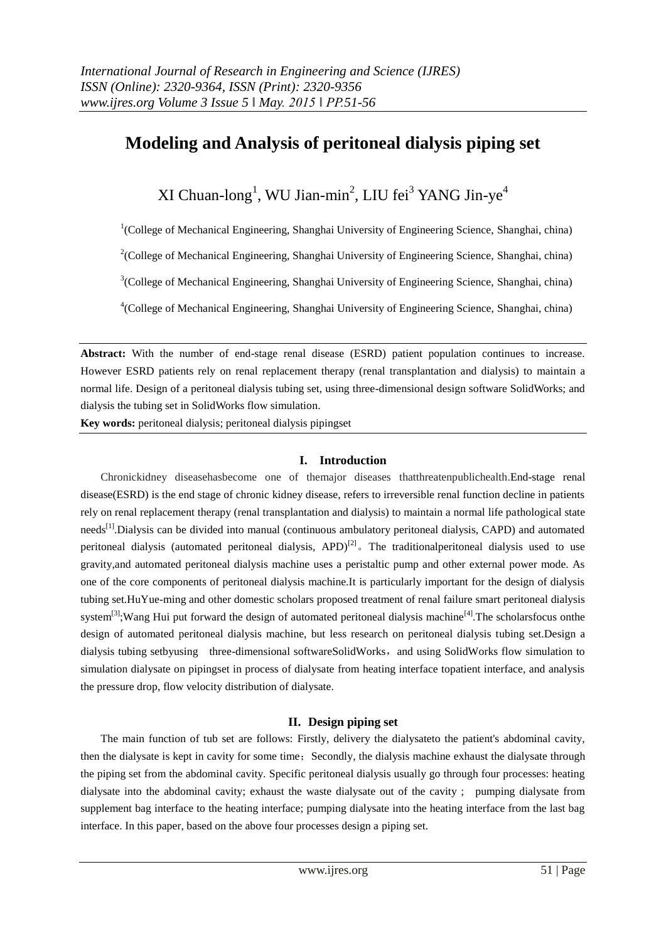# **Modeling and Analysis of peritoneal dialysis piping set**

XI Chuan-long<sup>1</sup>, WU Jian-min<sup>2</sup>, LIU fei<sup>3</sup> YANG Jin-ye<sup>4</sup>

<sup>1</sup>(College of Mechanical Engineering, Shanghai University of Engineering Science, Shanghai, china)

 $2$ (College of Mechanical Engineering, Shanghai University of Engineering Science, Shanghai, china)

<sup>3</sup>(College of Mechanical Engineering, Shanghai University of Engineering Science, Shanghai, china)

<sup>4</sup>(College of Mechanical Engineering, Shanghai University of Engineering Science, Shanghai, china)

**Abstract:** With the number of end-stage renal disease (ESRD) patient population continues to increase. However ESRD patients rely on renal replacement therapy (renal transplantation and dialysis) to maintain a normal life. Design of a peritoneal dialysis tubing set, using three-dimensional design software SolidWorks; and dialysis the tubing set in SolidWorks flow simulation.

**Key words:** peritoneal dialysis; peritoneal dialysis pipingset

#### **I. Introduction**

Chronickidney diseasehasbecome one of themajor diseases thatthreatenpublichealth.End-stage renal disease(ESRD) is the end stage of chronic kidney disease, refers to irreversible renal function decline in patients rely on renal replacement therapy (renal transplantation and dialysis) to maintain a normal life pathological state needs<sup>[1]</sup>.Dialysis can be divided into manual (continuous ambulatory peritoneal dialysis, CAPD) and automated peritoneal dialysis (automated peritoneal dialysis, APD)<sup>[2]</sup> The traditionalperitoneal dialysis used to use gravity,and automated peritoneal dialysis machine uses a peristaltic pump and other external power mode. As one of the core components of peritoneal dialysis machine.It is particularly important for the design of dialysis tubing set.HuYue-ming and other domestic scholars proposed treatment of renal failure smart peritoneal dialysis system<sup>[3]</sup>;Wang Hui put forward the design of automated peritoneal dialysis machine<sup>[4]</sup>. The scholarsfocus onthe design of automated peritoneal dialysis machine, but less research on peritoneal dialysis tubing set.Design a dialysis tubing setbyusing three-dimensional softwareSolidWorks, and using SolidWorks flow simulation to simulation dialysate on pipingset in process of dialysate from heating interface topatient interface, and analysis the pressure drop, flow velocity distribution of dialysate.

#### **II. Design piping set**

The main function of tub set are follows: Firstly, delivery the dialysateto the patient's abdominal cavity, then the dialysate is kept in cavity for some time; Secondly, the dialysis machine exhaust the dialysate through the piping set from the abdominal cavity. Specific peritoneal dialysis usually go through four processes: heating dialysate into the abdominal cavity; exhaust the waste dialysate out of the cavity ; pumping dialysate from supplement bag interface to the heating interface; pumping dialysate into the heating interface from the last bag interface. In this paper, based on the above four processes design a piping set.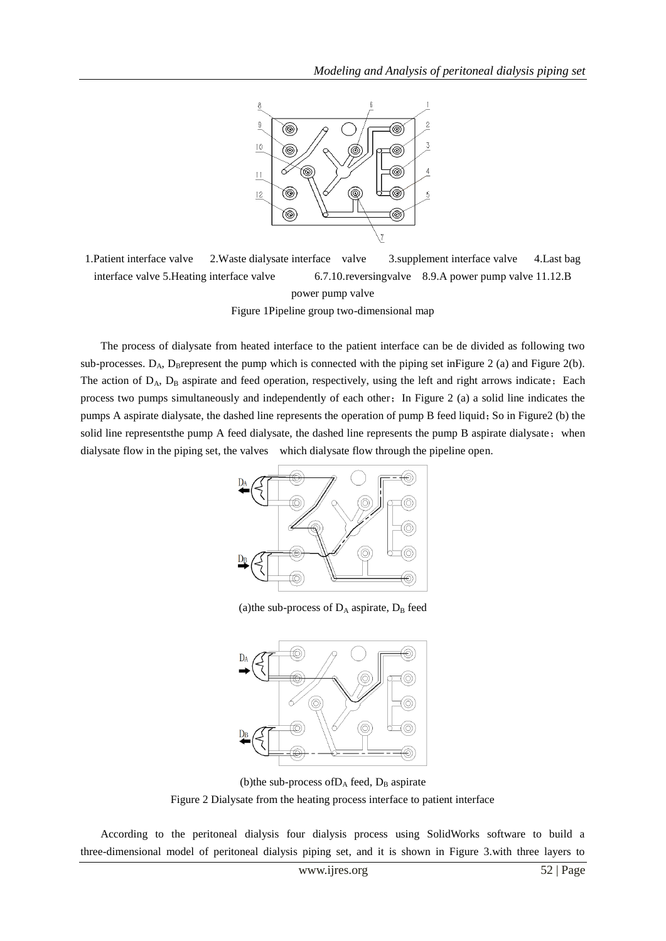

1.Patient interface valve 2.Waste dialysate interface valve 3.supplement interface valve 4.Last bag interface valve 5.Heating interface valve 6.7.10.reversingvalve 8.9.A power pump valve 11.12.B power pump valve Figure 1Pipeline group two-dimensional map

The process of dialysate from heated interface to the patient interface can be de divided as following two sub-processes.  $D_A$ , D<sub>B</sub>represent the pump which is connected with the piping set in Figure 2 (a) and Figure 2(b). The action of D<sub>A</sub>, D<sub>B</sub> aspirate and feed operation, respectively, using the left and right arrows indicate; Each process two pumps simultaneously and independently of each other;In Figure 2 (a) a solid line indicates the pumps A aspirate dialysate, the dashed line represents the operation of pump B feed liquid; So in Figure2 (b) the solid line representsthe pump A feed dialysate, the dashed line represents the pump B aspirate dialysate; when dialysate flow in the piping set, the valves which dialysate flow through the pipeline open.



(a)the sub-process of  $D_A$  aspirate,  $D_B$  feed



(b)the sub-process of  $D_A$  feed,  $D_B$  aspirate Figure 2 Dialysate from the heating process interface to patient interface

According to the peritoneal dialysis four dialysis process using SolidWorks software to build a three-dimensional model of peritoneal dialysis piping set, and it is shown in Figure 3.with three layers to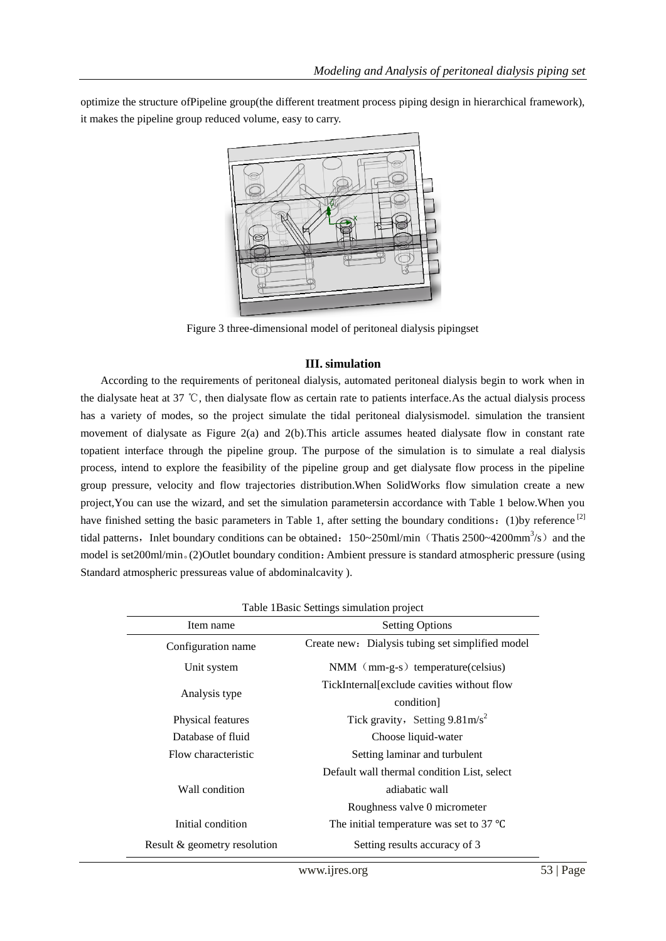optimize the structure ofPipeline group(the different treatment process piping design in hierarchical framework), it makes the pipeline group reduced volume, easy to carry.



Figure 3 three-dimensional model of peritoneal dialysis pipingset

# **III. simulation**

According to the requirements of peritoneal dialysis, automated peritoneal dialysis begin to work when in the dialysate heat at 37 ℃, then dialysate flow as certain rate to patients interface.As the actual dialysis process has a variety of modes, so the project simulate the tidal peritoneal dialysismodel. simulation the transient movement of dialysate as Figure 2(a) and 2(b).This article assumes heated dialysate flow in constant rate topatient interface through the pipeline group. The purpose of the simulation is to simulate a real dialysis process, intend to explore the feasibility of the pipeline group and get dialysate flow process in the pipeline group pressure, velocity and flow trajectories distribution.When SolidWorks flow simulation create a new project,You can use the wizard, and set the simulation parametersin accordance with Table 1 below.When you have finished setting the basic parameters in Table 1, after setting the boundary conditions: (1)by reference [2] tidal patterns, Inlet boundary conditions can be obtained:  $150~250$ ml/min (Thatis 2500~4200mm<sup>3</sup>/s) and the model is set200ml/min。(2)Outlet boundary condition:Ambient pressure is standard atmospheric pressure (using Standard atmospheric pressureas value of abdominalcavity ).

| Table 1 Basic Settings simulation project |                                                    |
|-------------------------------------------|----------------------------------------------------|
| Item name                                 | <b>Setting Options</b>                             |
| Configuration name                        | Create new: Dialysis tubing set simplified model   |
| Unit system                               | $NMM$ (mm-g-s) temperature(celsius)                |
| Analysis type                             | TickInternal[exclude cavities without flow         |
|                                           | condition]                                         |
| Physical features                         | Tick gravity, Setting $9.81 \text{m/s}^2$          |
| Database of fluid                         | Choose liquid-water                                |
| Flow characteristic                       | Setting laminar and turbulent                      |
| Wall condition                            | Default wall thermal condition List, select        |
|                                           | adiabatic wall                                     |
|                                           | Roughness valve 0 micrometer                       |
| Initial condition                         | The initial temperature was set to 37 $^{\circ}$ C |
| Result & geometry resolution              | Setting results accuracy of 3                      |
|                                           |                                                    |

Table 1Basic Settings simulation project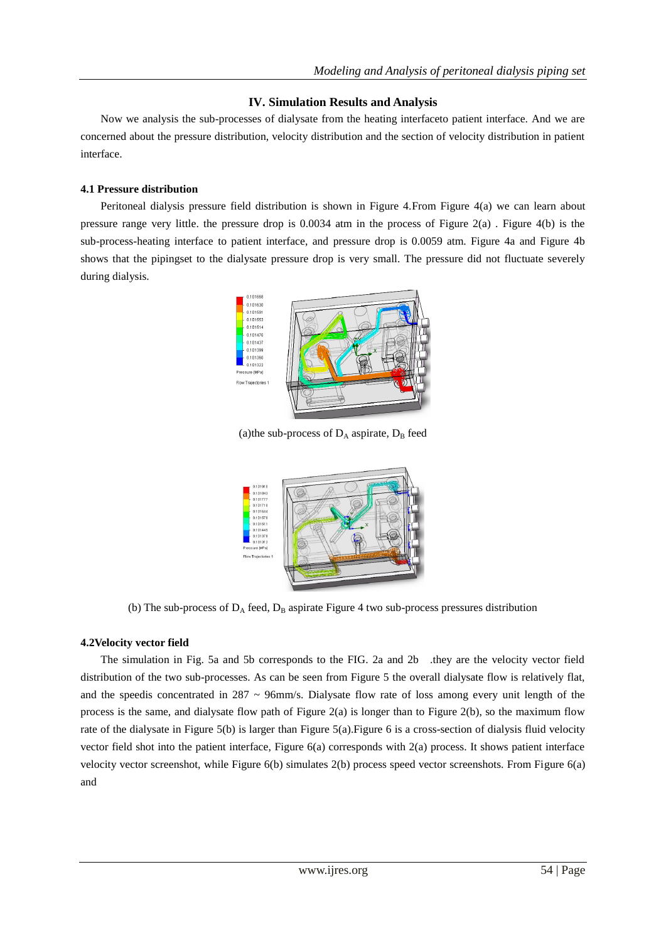## **IV. Simulation Results and Analysis**

Now we analysis the sub-processes of dialysate from the heating interfaceto patient interface. And we are concerned about the pressure distribution, velocity distribution and the section of velocity distribution in patient interface.

## **4.1 Pressure distribution**

Peritoneal dialysis pressure field distribution is shown in Figure 4.From Figure 4(a) we can learn about pressure range very little. the pressure drop is 0.0034 atm in the process of Figure 2(a) . Figure 4(b) is the sub-process-heating interface to patient interface, and pressure drop is 0.0059 atm. Figure 4a and Figure 4b shows that the pipingset to the dialysate pressure drop is very small. The pressure did not fluctuate severely during dialysis.



(a)the sub-process of  $D_A$  aspirate,  $D_B$  feed



(b) The sub-process of  $D_A$  feed,  $D_B$  aspirate Figure 4 two sub-process pressures distribution

# **4.2Velocity vector field**

The simulation in Fig. 5a and 5b corresponds to the FIG. 2a and 2b .they are the velocity vector field distribution of the two sub-processes. As can be seen from Figure 5 the overall dialysate flow is relatively flat, and the speedis concentrated in  $287 \sim 96$ mm/s. Dialysate flow rate of loss among every unit length of the process is the same, and dialysate flow path of Figure 2(a) is longer than to Figure 2(b), so the maximum flow rate of the dialysate in Figure 5(b) is larger than Figure 5(a).Figure 6 is a cross-section of dialysis fluid velocity vector field shot into the patient interface, Figure 6(a) corresponds with 2(a) process. It shows patient interface velocity vector screenshot, while Figure 6(b) simulates 2(b) process speed vector screenshots. From Figure 6(a) and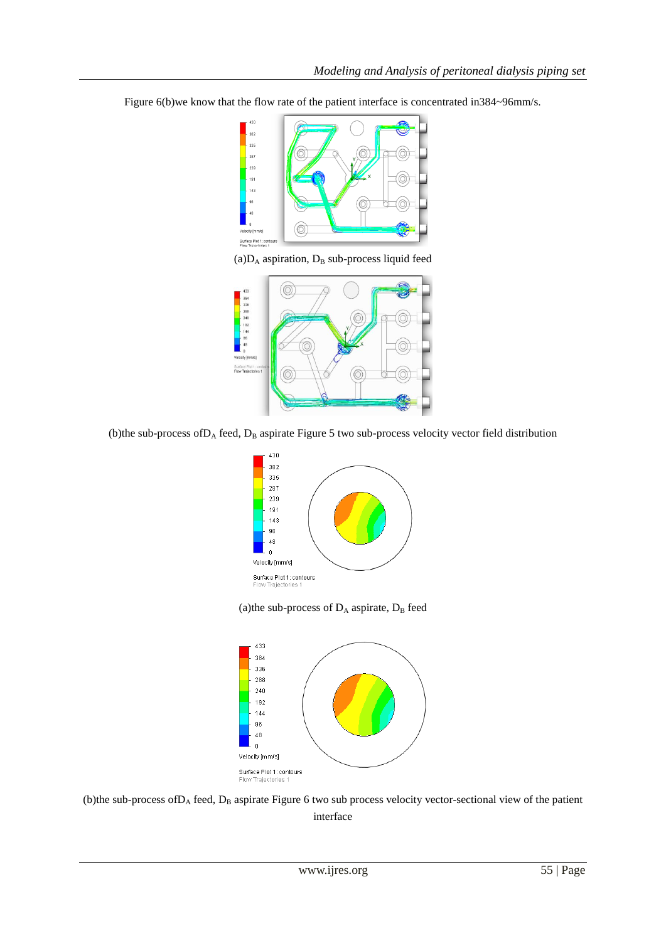Figure 6(b)we know that the flow rate of the patient interface is concentrated in384~96mm/s.



(a) $D_A$  aspiration,  $D_B$  sub-process liquid feed



(b)the sub-process of  $D_A$  feed,  $D_B$  aspirate Figure 5 two sub-process velocity vector field distribution



(a)the sub-process of  $D_A$  aspirate,  $D_B$  feed



(b)the sub-process of D<sub>A</sub> feed, D<sub>B</sub> aspirate Figure 6 two sub process velocity vector-sectional view of the patient interface